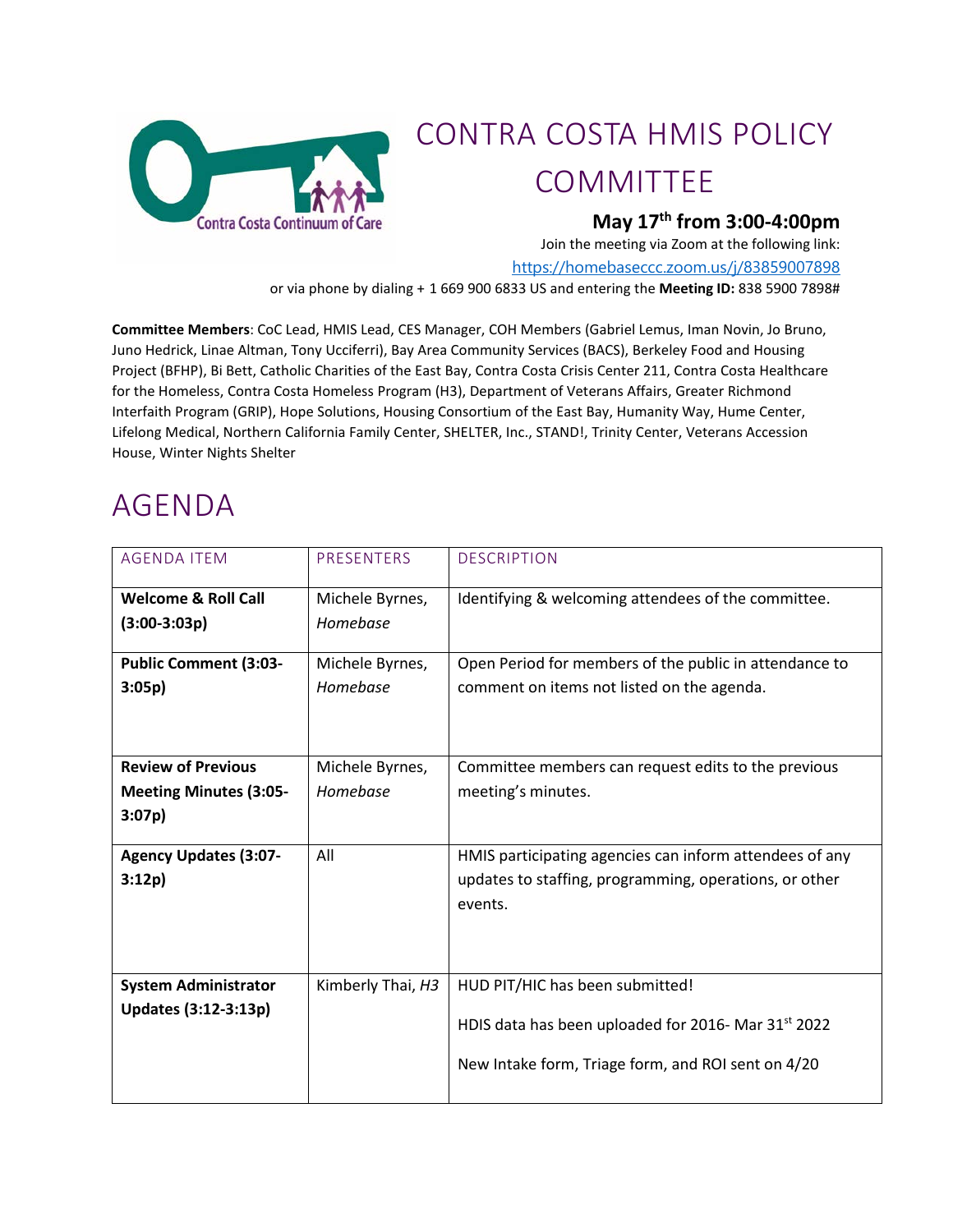

## CONTRA COSTA HMIS POLICY COMMITTEE

## **May 17th from 3:00-4:00pm**

Join the meeting via Zoom at the following link:

<https://homebaseccc.zoom.us/j/83859007898>

or via phone by dialing + 1 669 900 6833 US and entering the **Meeting ID:** 838 5900 7898#

**Committee Members**: CoC Lead, HMIS Lead, CES Manager, COH Members (Gabriel Lemus, Iman Novin, Jo Bruno, Juno Hedrick, Linae Altman, Tony Ucciferri), Bay Area Community Services (BACS), Berkeley Food and Housing Project (BFHP), Bi Bett, Catholic Charities of the East Bay, Contra Costa Crisis Center 211, Contra Costa Healthcare for the Homeless, Contra Costa Homeless Program (H3), Department of Veterans Affairs, Greater Richmond Interfaith Program (GRIP), Hope Solutions, Housing Consortium of the East Bay, Humanity Way, Hume Center, Lifelong Medical, Northern California Family Center, SHELTER, Inc., STAND!, Trinity Center, Veterans Accession House, Winter Nights Shelter

## AGENDA

| <b>AGENDA ITEM</b>             | PRESENTERS        | <b>DESCRIPTION</b>                                      |
|--------------------------------|-------------------|---------------------------------------------------------|
| <b>Welcome &amp; Roll Call</b> | Michele Byrnes,   | Identifying & welcoming attendees of the committee.     |
| $(3:00-3:03p)$                 | Homebase          |                                                         |
| <b>Public Comment (3:03-</b>   | Michele Byrnes,   | Open Period for members of the public in attendance to  |
| 3:05p)                         | Homebase          | comment on items not listed on the agenda.              |
| <b>Review of Previous</b>      | Michele Byrnes,   | Committee members can request edits to the previous     |
| <b>Meeting Minutes (3:05-</b>  | Homebase          | meeting's minutes.                                      |
| 3:07p)                         |                   |                                                         |
| <b>Agency Updates (3:07-</b>   | All               | HMIS participating agencies can inform attendees of any |
| 3:12p)                         |                   | updates to staffing, programming, operations, or other  |
|                                |                   | events.                                                 |
|                                |                   |                                                         |
| <b>System Administrator</b>    | Kimberly Thai, H3 | HUD PIT/HIC has been submitted!                         |
| Updates (3:12-3:13p)           |                   | HDIS data has been uploaded for 2016- Mar 31st 2022     |
|                                |                   |                                                         |
|                                |                   | New Intake form, Triage form, and ROI sent on 4/20      |
|                                |                   |                                                         |